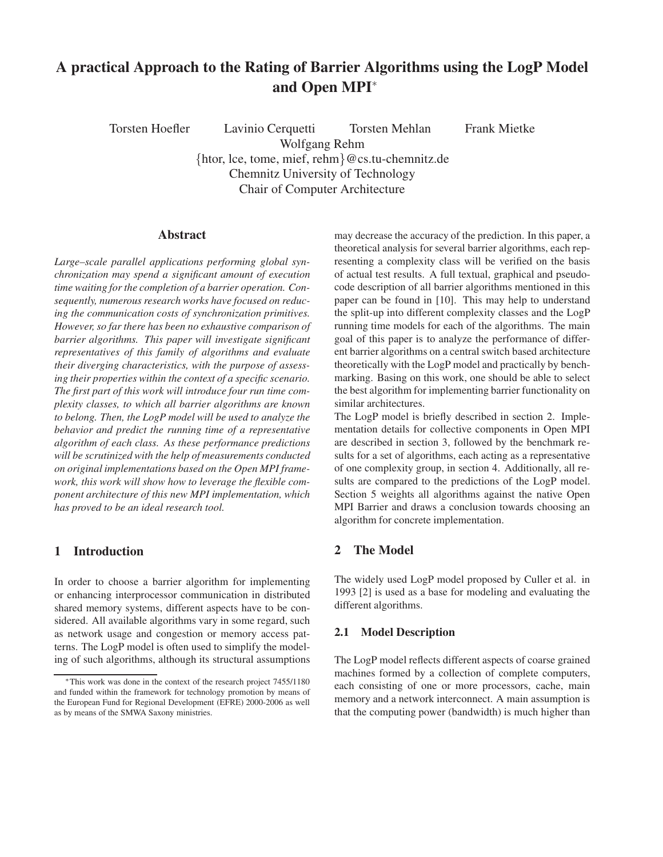# **A practical Approach to the Rating of Barrier Algorithms using the LogP Model and Open MPI**<sup>∗</sup>

Torsten Hoefler Lavinio Cerquetti Torsten Mehlan Frank Mietke

Wolfgang Rehm

{htor, lce, tome, mief, rehm}@cs.tu-chemnitz.de

Chemnitz University of Technology

Chair of Computer Architecture

## **Abstract**

*Large–scale parallel applications performing global synchronization may spend a significant amount of execution time waiting for the completion of a barrier operation. Consequently, numerous research works have focused on reducing the communication costs of synchronization primitives. However, so far there has been no exhaustive comparison of barrier algorithms. This paper will investigate significant representatives of this family of algorithms and evaluate their diverging characteristics, with the purpose of assessing their properties within the context of a specific scenario. The first part of this work will introduce four run time complexity classes, to which all barrier algorithms are known to belong. Then, the LogP model will be used to analyze the behavior and predict the running time of a representative algorithm of each class. As these performance predictions will be scrutinized with the help of measurements conducted on original implementations based on the Open MPI framework, this work will show how to leverage the flexible component architecture of this new MPI implementation, which has proved to be an ideal research tool.*

## **1 Introduction**

In order to choose a barrier algorithm for implementing or enhancing interprocessor communication in distributed shared memory systems, different aspects have to be considered. All available algorithms vary in some regard, such as network usage and congestion or memory access patterns. The LogP model is often used to simplify the modeling of such algorithms, although its structural assumptions may decrease the accuracy of the prediction. In this paper, a theoretical analysis for several barrier algorithms, each representing a complexity class will be verified on the basis of actual test results. A full textual, graphical and pseudocode description of all barrier algorithms mentioned in this paper can be found in [10]. This may help to understand the split-up into different complexity classes and the LogP running time models for each of the algorithms. The main goal of this paper is to analyze the performance of different barrier algorithms on a central switch based architecture theoretically with the LogP model and practically by benchmarking. Basing on this work, one should be able to select the best algorithm for implementing barrier functionality on similar architectures.

The LogP model is briefly described in section 2. Implementation details for collective components in Open MPI are described in section 3, followed by the benchmark results for a set of algorithms, each acting as a representative of one complexity group, in section 4. Additionally, all results are compared to the predictions of the LogP model. Section 5 weights all algorithms against the native Open MPI Barrier and draws a conclusion towards choosing an algorithm for concrete implementation.

# **2 The Model**

The widely used LogP model proposed by Culler et al. in 1993 [2] is used as a base for modeling and evaluating the different algorithms.

#### **2.1 Model Description**

The LogP model reflects different aspects of coarse grained machines formed by a collection of complete computers, each consisting of one or more processors, cache, main memory and a network interconnect. A main assumption is that the computing power (bandwidth) is much higher than

<sup>∗</sup>This work was done in the context of the research project 7455/1180 and funded within the framework for technology promotion by means of the European Fund for Regional Development (EFRE) 2000-2006 as well as by means of the SMWA Saxony ministries.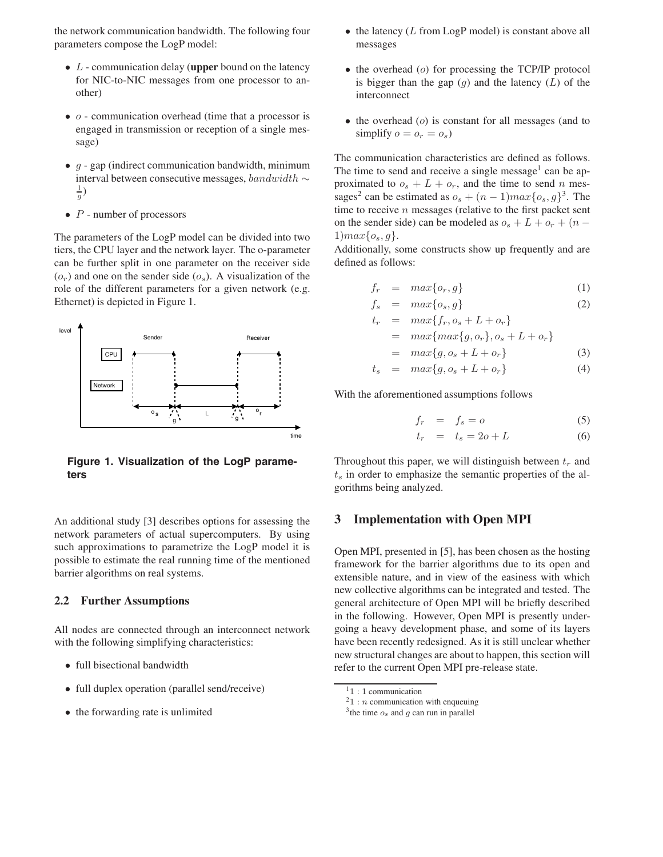the network communication bandwidth. The following four parameters compose the LogP model:

- *L* communication delay (**upper** bound on the latency for NIC-to-NIC messages from one processor to another)
- *o* communication overhead (time that a processor is engaged in transmission or reception of a single message)
- *g* gap (indirect communication bandwidth, minimum interval between consecutive messages, *bandwidth* <sup>∼</sup> <sup>1</sup>  $\frac{1}{a}$
- *P* number of processors

The parameters of the LogP model can be divided into two tiers, the CPU layer and the network layer. The o-parameter can be further split in one parameter on the receiver side  $(o_r)$  and one on the sender side  $(o_s)$ . A visualization of the role of the different parameters for a given network (e.g. Ethernet) is depicted in Figure 1.



**Figure 1. Visualization of the LogP parameters**

An additional study [3] describes options for assessing the network parameters of actual supercomputers. By using such approximations to parametrize the LogP model it is possible to estimate the real running time of the mentioned barrier algorithms on real systems.

## **2.2 Further Assumptions**

All nodes are connected through an interconnect network with the following simplifying characteristics:

- full bisectional bandwidth
- full duplex operation (parallel send/receive)
- the forwarding rate is unlimited
- the latency (*L* from LogP model) is constant above all messages
- the overhead (*o*) for processing the TCP/IP protocol is bigger than the gap (*g*) and the latency (*L*) of the interconnect
- the overhead (*o*) is constant for all messages (and to simplify  $o = o_r = o_s$ )

The communication characteristics are defined as follows. The time to send and receive a single message<sup>1</sup> can be approximated to  $o_s + L + o_r$ , and the time to send *n* messages<sup>2</sup> can be estimated as  $o_s + (n-1) max\{o_s, g\}^3$ . The time to receive *n* messages (relative to the first packet sent on the sender side) can be modeled as  $o<sub>s</sub> + L + o<sub>r</sub> + (n - \frac{1}{2})$  $1) max\{o_s, g\}.$ 

Additionally, some constructs show up frequently and are defined as follows:

$$
f_r = max\{o_r, g\} \tag{1}
$$

$$
f_s = \max\{o_s, g\} \tag{2}
$$

$$
t_r = max{f_r, o_s + L + o_r}
$$
  
= 
$$
max{max{g, o_r}, o_s + L + o_r}
$$
  
= 
$$
max{a, o_s + L + o_r}
$$
 (3)

$$
I = \max\left(\frac{g}{g}, \frac{g}{g} + \frac{L}{g} + \frac{\sigma}{g}\right) \tag{4}
$$

$$
t_s = \max\{g, o_s + L + o_r\} \tag{4}
$$

With the aforementioned assumptions follows

$$
f_r = f_s = o \tag{5}
$$

$$
t_r = t_s = 2o + L \tag{6}
$$

Throughout this paper, we will distinguish between *t<sup>r</sup>* and *t<sup>s</sup>* in order to emphasize the semantic properties of the algorithms being analyzed.

### **3 Implementation with Open MPI**

Open MPI, presented in [5], has been chosen as the hosting framework for the barrier algorithms due to its open and extensible nature, and in view of the easiness with which new collective algorithms can be integrated and tested. The general architecture of Open MPI will be briefly described in the following. However, Open MPI is presently undergoing a heavy development phase, and some of its layers have been recently redesigned. As it is still unclear whether new structural changes are about to happen, this section will refer to the current Open MPI pre-release state.

<sup>&</sup>lt;sup>1</sup>1 : 1 communication<br> $\frac{1}{2}$  : *n* communication with enqueuing

 $3$ the time  $o_s$  and  $g$  can run in parallel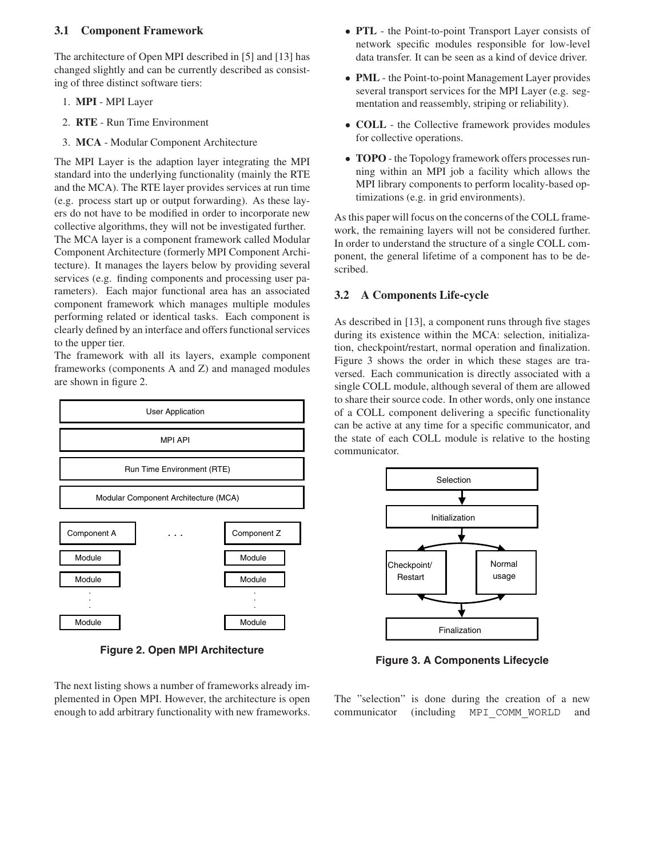## **3.1 Component Framework**

The architecture of Open MPI described in [5] and [13] has changed slightly and can be currently described as consisting of three distinct software tiers:

- 1. **MPI** MPI Layer
- 2. **RTE** Run Time Environment
- 3. **MCA** Modular Component Architecture

The MPI Layer is the adaption layer integrating the MPI standard into the underlying functionality (mainly the RTE and the MCA). The RTE layer provides services at run time (e.g. process start up or output forwarding). As these layers do not have to be modified in order to incorporate new collective algorithms, they will not be investigated further. The MCA layer is a component framework called Modular Component Architecture (formerly MPI Component Architecture). It manages the layers below by providing several services (e.g. finding components and processing user parameters). Each major functional area has an associated component framework which manages multiple modules performing related or identical tasks. Each component is clearly defined by an interface and offers functional services to the upper tier.

The framework with all its layers, example component frameworks (components A and Z) and managed modules are shown in figure 2.



**Figure 2. Open MPI Architecture**

The next listing shows a number of frameworks already implemented in Open MPI. However, the architecture is open enough to add arbitrary functionality with new frameworks.

- **PTL** the Point-to-point Transport Layer consists of network specific modules responsible for low-level data transfer. It can be seen as a kind of device driver.
- **PML** the Point-to-point Management Layer provides several transport services for the MPI Layer (e.g. segmentation and reassembly, striping or reliability).
- **COLL** the Collective framework provides modules for collective operations.
- **TOPO** the Topology framework offers processes running within an MPI job a facility which allows the MPI library components to perform locality-based optimizations (e.g. in grid environments).

As this paper will focus on the concerns of the COLL framework, the remaining layers will not be considered further. In order to understand the structure of a single COLL component, the general lifetime of a component has to be described.

## **3.2 A Components Life-cycle**

As described in [13], a component runs through five stages during its existence within the MCA: selection, initialization, checkpoint/restart, normal operation and finalization. Figure 3 shows the order in which these stages are traversed. Each communication is directly associated with a single COLL module, although several of them are allowed to share their source code. In other words, only one instance of a COLL component delivering a specific functionality can be active at any time for a specific communicator, and the state of each COLL module is relative to the hosting communicator.



**Figure 3. A Components Lifecycle**

The "selection" is done during the creation of a new communicator (including MPI\_COMM\_WORLD and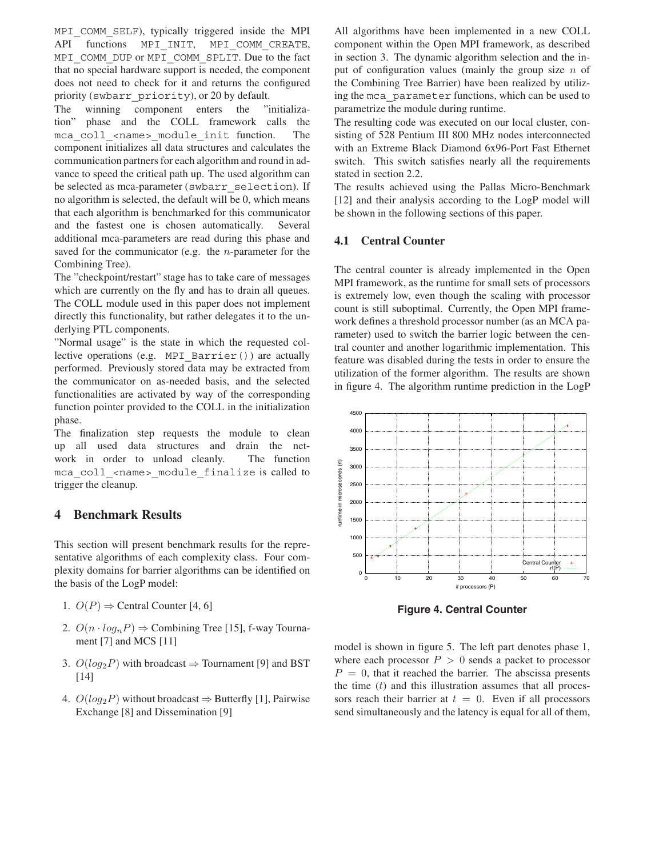MPI\_COMM\_SELF), typically triggered inside the MPI API functions MPI\_INIT, MPI\_COMM\_CREATE, MPI\_COMM\_DUP or MPI\_COMM\_SPLIT. Due to the fact that no special hardware support is needed, the component does not need to check for it and returns the configured priority (swbarr priority), or 20 by default.

The winning component enters the "initialization" phase and the COLL framework calls the mca coll <name> module init function. The component initializes all data structures and calculates the communication partners for each algorithm and round in advance to speed the critical path up. The used algorithm can be selected as mca-parameter (swbarr\_selection). If no algorithm is selected, the default will be 0, which means that each algorithm is benchmarked for this communicator and the fastest one is chosen automatically. Several additional mca-parameters are read during this phase and saved for the communicator (e.g. the *n*-parameter for the Combining Tree).

The "checkpoint/restart" stage has to take care of messages which are currently on the fly and has to drain all queues. The COLL module used in this paper does not implement directly this functionality, but rather delegates it to the underlying PTL components.

"Normal usage" is the state in which the requested collective operations (e.g. MPI\_Barrier()) are actually performed. Previously stored data may be extracted from the communicator on as-needed basis, and the selected functionalities are activated by way of the corresponding function pointer provided to the COLL in the initialization phase.

The finalization step requests the module to clean up all used data structures and drain the network in order to unload cleanly. The function mca\_coll\_<name>\_module\_finalize is called to trigger the cleanup.

## **4 Benchmark Results**

This section will present benchmark results for the representative algorithms of each complexity class. Four complexity domains for barrier algorithms can be identified on the basis of the LogP model:

- 1.  $O(P) \Rightarrow$  Central Counter [4, 6]
- 2.  $O(n \cdot log_n P) \Rightarrow$  Combining Tree [15], f-way Tournament [7] and MCS [11]
- 3.  $O(log_2 P)$  with broadcast  $\Rightarrow$  Tournament [9] and BST [14]
- 4.  $O(log_2 P)$  without broadcast  $\Rightarrow$  Butterfly [1], Pairwise Exchange [8] and Dissemination [9]

All algorithms have been implemented in a new COLL component within the Open MPI framework, as described in section 3. The dynamic algorithm selection and the input of configuration values (mainly the group size *n* of the Combining Tree Barrier) have been realized by utilizing the mca\_parameter functions, which can be used to parametrize the module during runtime.

The resulting code was executed on our local cluster, consisting of 528 Pentium III 800 MHz nodes interconnected with an Extreme Black Diamond 6x96-Port Fast Ethernet switch. This switch satisfies nearly all the requirements stated in section 2.2.

The results achieved using the Pallas Micro-Benchmark [12] and their analysis according to the LogP model will be shown in the following sections of this paper.

#### **4.1 Central Counter**

The central counter is already implemented in the Open MPI framework, as the runtime for small sets of processors is extremely low, even though the scaling with processor count is still suboptimal. Currently, the Open MPI framework defines a threshold processor number (as an MCA parameter) used to switch the barrier logic between the central counter and another logarithmic implementation. This feature was disabled during the tests in order to ensure the utilization of the former algorithm. The results are shown in figure 4. The algorithm runtime prediction in the LogP



**Figure 4. Central Counter**

model is shown in figure 5. The left part denotes phase 1, where each processor  $P > 0$  sends a packet to processor  $P = 0$ , that it reached the barrier. The abscissa presents the time (*t*) and this illustration assumes that all processors reach their barrier at  $t = 0$ . Even if all processors send simultaneously and the latency is equal for all of them,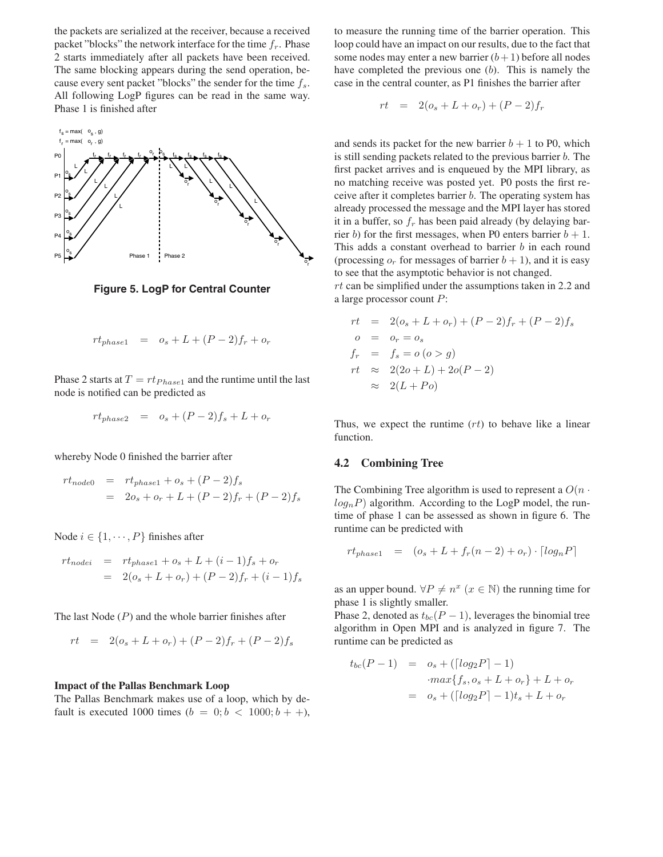the packets are serialized at the receiver, because a received packet "blocks" the network interface for the time *fr*. Phase 2 starts immediately after all packets have been received. The same blocking appears during the send operation, because every sent packet "blocks" the sender for the time *fs*. All following LogP figures can be read in the same way. Phase 1 is finished after



**Figure 5. LogP for Central Counter**

$$
rt_{phase1} = o_s + L + (P - 2)f_r + o_r
$$

Phase 2 starts at  $T = rt_{Phase1}$  and the runtime until the last node is notified can be predicted as

$$
rt_{phase2} = o_s + (P-2)f_s + L + o_r
$$

whereby Node 0 finished the barrier after

$$
rt_{node0} = rt_{phase1} + o_s + (P-2)f_s
$$
  
=  $2o_s + o_r + L + (P-2)f_r + (P-2)f_s$ 

Node  $i \in \{1, \dots, P\}$  finishes after

$$
rt_{nodei} = rt_{phase1} + o_s + L + (i - 1)f_s + o_r
$$
  
= 2(o\_s + L + o\_r) + (P - 2)f\_r + (i - 1)f\_s

The last Node (*P*) and the whole barrier finishes after

$$
rt = 2(o_s + L + o_r) + (P - 2)f_r + (P - 2)f_s
$$

#### **Impact of the Pallas Benchmark Loop**

The Pallas Benchmark makes use of a loop, which by default is executed 1000 times  $(b = 0; b < 1000; b + +)$ , to measure the running time of the barrier operation. This loop could have an impact on our results, due to the fact that some nodes may enter a new barrier  $(b+1)$  before all nodes have completed the previous one (*b*). This is namely the case in the central counter, as P1 finishes the barrier after

$$
rt = 2(o_s + L + o_r) + (P - 2)f_r
$$

and sends its packet for the new barrier  $b + 1$  to P0, which is still sending packets related to the previous barrier *b*. The first packet arrives and is enqueued by the MPI library, as no matching receive was posted yet. P0 posts the first receive after it completes barrier *b*. The operating system has already processed the message and the MPI layer has stored it in a buffer, so *f<sup>r</sup>* has been paid already (by delaying barrier *b*) for the first messages, when P0 enters barrier  $b + 1$ . This adds a constant overhead to barrier *b* in each round (processing  $o_r$  for messages of barrier  $b + 1$ ), and it is easy to see that the asymptotic behavior is not changed.

*rt* can be simplified under the assumptions taken in 2.2 and a large processor count *P*:

$$
rt = 2(o_s + L + o_r) + (P - 2)f_r + (P - 2)f_s
$$
  
\n
$$
o = o_r = o_s
$$
  
\n
$$
f_r = f_s = o(o > g)
$$
  
\n
$$
rt \approx 2(2o + L) + 2o(P - 2)
$$
  
\n
$$
\approx 2(L + Po)
$$

Thus, we expect the runtime (*rt*) to behave like a linear function.

#### **4.2 Combining Tree**

The Combining Tree algorithm is used to represent a  $O(n \cdot n)$  $log_n P$ ) algorithm. According to the LogP model, the runtime of phase 1 can be assessed as shown in figure 6. The runtime can be predicted with

$$
rt_{phase1} = (o_s + L + f_r(n-2) + o_r) \cdot \lceil log_n P \rceil
$$

as an upper bound.  $\forall P \neq n^x \ (x \in \mathbb{N})$  the running time for phase 1 is slightly smaller.

Phase 2, denoted as  $t_{bc}(P-1)$ , leverages the binomial tree algorithm in Open MPI and is analyzed in figure 7. The runtime can be predicted as

$$
t_{bc}(P-1) = o_s + (\lceil log_2 P \rceil - 1)
$$
  
\n
$$
\cdot max\{f_s, o_s + L + o_r\} + L + o_r
$$
  
\n
$$
= o_s + (\lceil log_2 P \rceil - 1)t_s + L + o_r
$$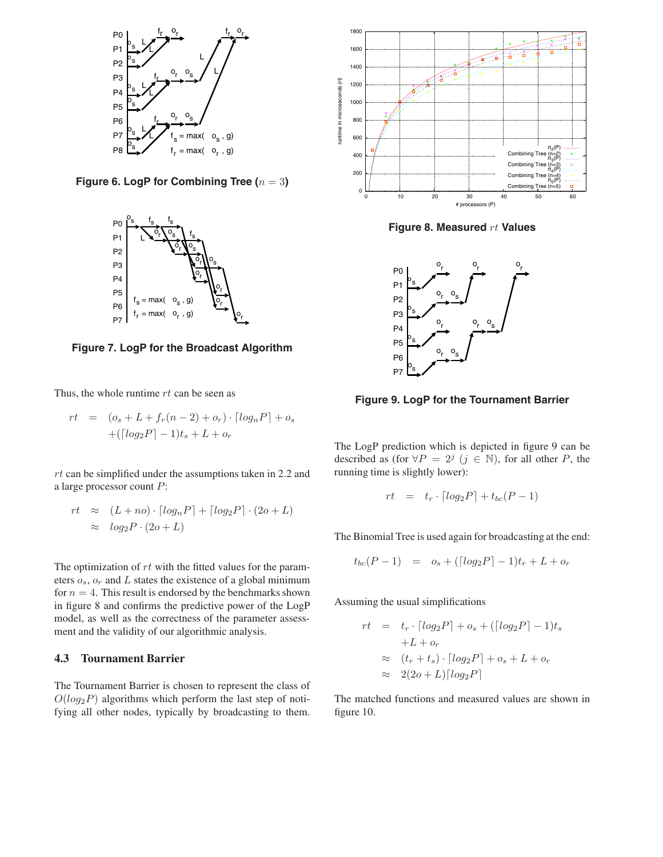

**Figure 6. LogP for Combining Tree (***n* = 3**)**



**Figure 7. LogP for the Broadcast Algorithm**

Thus, the whole runtime *rt* can be seen as

$$
rt = (o_s + L + f_r(n - 2) + o_r) \cdot \lceil log_n P \rceil + o_s
$$

$$
+ (\lceil log_2 P \rceil - 1)t_s + L + o_r
$$

*rt* can be simplified under the assumptions taken in 2.2 and a large processor count *P*:

$$
rt \approx (L + no) \cdot \lceil log_n P \rceil + \lceil log_2 P \rceil \cdot (2o + L)
$$

$$
\approx log_2 P \cdot (2o + L)
$$

The optimization of *rt* with the fitted values for the parameters *os*, *o<sup>r</sup>* and *L* states the existence of a global minimum for  $n = 4$ . This result is endorsed by the benchmarks shown in figure 8 and confirms the predictive power of the LogP model, as well as the correctness of the parameter assessment and the validity of our algorithmic analysis.

## **4.3 Tournament Barrier**

The Tournament Barrier is chosen to represent the class of  $O(log_2 P)$  algorithms which perform the last step of notifying all other nodes, typically by broadcasting to them.



**Figure 8. Measured** *rt* **Values**



**Figure 9. LogP for the Tournament Barrier**

The LogP prediction which is depicted in figure 9 can be described as (for  $\forall P = 2^j$  ( $j \in \mathbb{N}$ ), for all other *P*, the running time is slightly lower):

$$
rt = t_r \cdot \lceil log_2 P \rceil + t_{bc}(P - 1)
$$

The Binomial Tree is used again for broadcasting at the end:

$$
t_{bc}(P-1) = o_s + ( \lceil log_2 P \rceil - 1)t_r + L + o_r
$$

Assuming the usual simplifications

$$
rt = t_r \cdot \lceil log_2 P \rceil + o_s + (\lceil log_2 P \rceil - 1)t_s
$$

$$
+L + o_r
$$

$$
\approx (t_r + t_s) \cdot \lceil log_2 P \rceil + o_s + L + o_r
$$

$$
\approx 2(2o + L) \lceil log_2 P \rceil
$$

The matched functions and measured values are shown in figure 10.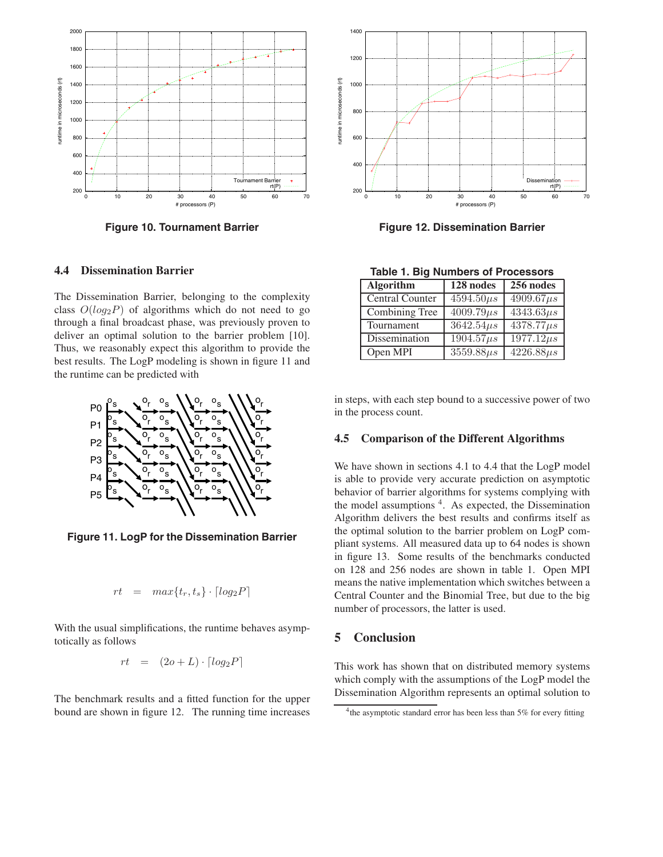

**Figure 10. Tournament Barrier**

#### **4.4 Dissemination Barrier**

The Dissemination Barrier, belonging to the complexity class  $O(log_2 P)$  of algorithms which do not need to go through a final broadcast phase, was previously proven to deliver an optimal solution to the barrier problem [10]. Thus, we reasonably expect this algorithm to provide the best results. The LogP modeling is shown in figure 11 and the runtime can be predicted with



**Figure 11. LogP for the Dissemination Barrier**

$$
rt \quad = \quad max\{t_r, t_s\} \cdot \lceil log_2 P \rceil
$$

With the usual simplifications, the runtime behaves asymptotically as follows

$$
rt = (2o + L) \cdot \lceil log_2 P \rceil
$$

The benchmark results and a fitted function for the upper bound are shown in figure 12. The running time increases



**Figure 12. Dissemination Barrier**

|  |  | <b>Table 1. Big Numbers of Processors</b> |
|--|--|-------------------------------------------|
|  |  |                                           |

| <b>Algorithm</b> | 128 nodes       | 256 nodes       |
|------------------|-----------------|-----------------|
| Central Counter  | $4594.50 \mu s$ | $4909.67 \mu s$ |
| Combining Tree   | $4009.79 \mu s$ | $4343.63 \mu s$ |
| Tournament       | $3642.54 \mu s$ | $4378.77 \mu s$ |
| Dissemination    | $1904.57 \mu s$ | $1977.12 \mu s$ |
| Open MPI         | $3559.88 \mu s$ | $4226.88 \mu s$ |

in steps, with each step bound to a successive power of two in the process count.

### **4.5 Comparison of the Different Algorithms**

We have shown in sections 4.1 to 4.4 that the LogP model is able to provide very accurate prediction on asymptotic behavior of barrier algorithms for systems complying with the model assumptions  $4$ . As expected, the Dissemination Algorithm delivers the best results and confirms itself as the optimal solution to the barrier problem on LogP compliant systems. All measured data up to 64 nodes is shown in figure 13. Some results of the benchmarks conducted on 128 and 256 nodes are shown in table 1. Open MPI means the native implementation which switches between a Central Counter and the Binomial Tree, but due to the big number of processors, the latter is used.

## **5 Conclusion**

This work has shown that on distributed memory systems which comply with the assumptions of the LogP model the Dissemination Algorithm represents an optimal solution to

<sup>&</sup>lt;sup>4</sup>the asymptotic standard error has been less than 5% for every fitting